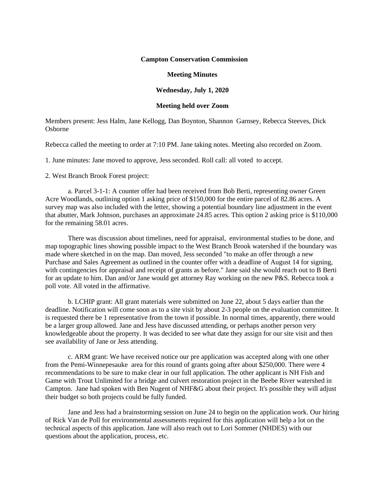## **Campton Conservation Commission**

## **Meeting Minutes**

## **Wednesday, July 1, 2020**

## **Meeting held over Zoom**

Members present: Jess Halm, Jane Kellogg, Dan Boynton, Shannon Garnsey, Rebecca Steeves, Dick Osborne

Rebecca called the meeting to order at 7:10 PM. Jane taking notes. Meeting also recorded on Zoom.

1. June minutes: Jane moved to approve, Jess seconded. Roll call: all voted to accept.

2. West Branch Brook Forest project:

a. Parcel 3-1-1: A counter offer had been received from Bob Berti, representing owner Green Acre Woodlands, outlining option 1 asking price of \$150,000 for the entire parcel of 82.86 acres. A survey map was also included with the letter, showing a potential boundary line adjustment in the event that abutter, Mark Johnson, purchases an approximate 24.85 acres. This option 2 asking price is \$110,000 for the remaining 58.01 acres.

There was discussion about timelines, need for appraisal, environmental studies to be done, and map topographic lines showing possible impact to the West Branch Brook watershed if the boundary was made where sketched in on the map. Dan moved, Jess seconded "to make an offer through a new Purchase and Sales Agreement as outlined in the counter offer with a deadline of August 14 for signing, with contingencies for appraisal and receipt of grants as before." Jane said she would reach out to B Berti for an update to him. Dan and/or Jane would get attorney Ray working on the new P&S. Rebecca took a poll vote. All voted in the affirmative.

b. LCHIP grant: All grant materials were submitted on June 22, about 5 days earlier than the deadline. Notification will come soon as to a site visit by about 2-3 people on the evaluation committee. It is requested there be 1 representative from the town if possible. In normal times, apparently, there would be a larger group allowed. Jane and Jess have discussed attending, or perhaps another person very knowledgeable about the property. It was decided to see what date they assign for our site visit and then see availability of Jane or Jess attending.

c. ARM grant: We have received notice our pre application was accepted along with one other from the Pemi-Winnepesauke area for this round of grants going after about \$250,000. There were 4 recommendations to be sure to make clear in our full application. The other applicant is NH Fish and Game with Trout Unlimited for a bridge and culvert restoration project in the Beebe River watershed in Campton. Jane had spoken with Ben Nugent of NHF&G about their project. It's possible they will adjust their budget so both projects could be fully funded.

Jane and Jess had a brainstorming session on June 24 to begin on the application work. Our hiring of Rick Van de Poll for environmental assessments required for this application will help a lot on the technical aspects of this application. Jane will also reach out to Lori Sommer (NHDES) with our questions about the application, process, etc.